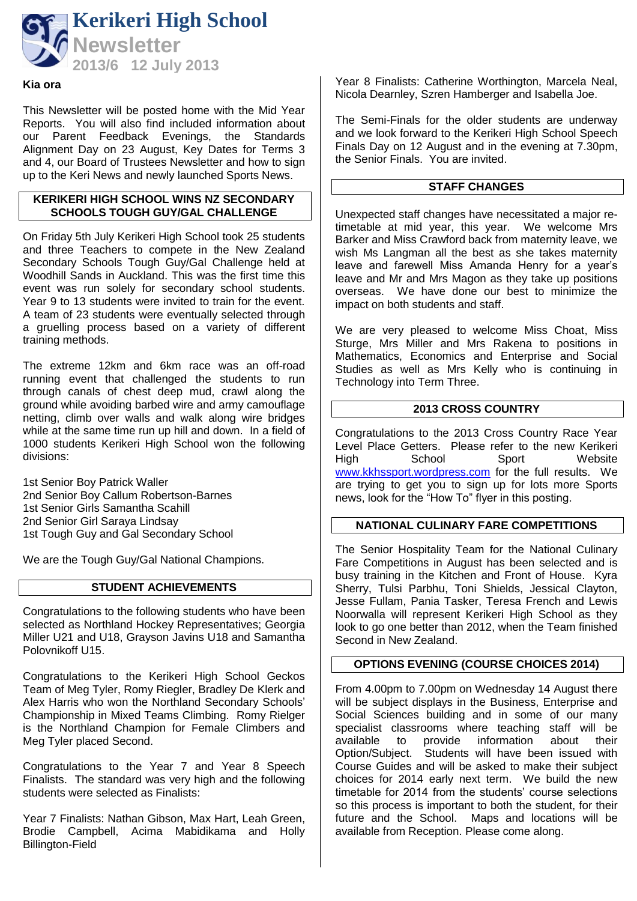

#### **Kia ora**

This Newsletter will be posted home with the Mid Year Reports. You will also find included information about our Parent Feedback Evenings, the Standards Alignment Day on 23 August, Key Dates for Terms 3 and 4, our Board of Trustees Newsletter and how to sign up to the Keri News and newly launched Sports News.

## **KERIKERI HIGH SCHOOL WINS NZ SECONDARY SCHOOLS TOUGH GUY/GAL CHALLENGE**

On Friday 5th July Kerikeri High School took 25 students and three Teachers to compete in the New Zealand Secondary Schools Tough Guy/Gal Challenge held at Woodhill Sands in Auckland. This was the first time this event was run solely for secondary school students. Year 9 to 13 students were invited to train for the event. A team of 23 students were eventually selected through a gruelling process based on a variety of different training methods.

The extreme 12km and 6km race was an off-road running event that challenged the students to run through canals of chest deep mud, crawl along the ground while avoiding barbed wire and army camouflage netting, climb over walls and walk along wire bridges while at the same time run up hill and down. In a field of 1000 students Kerikeri High School won the following divisions:

1st Senior Boy Patrick Waller 2nd Senior Boy Callum Robertson-Barnes 1st Senior Girls Samantha Scahill 2nd Senior Girl Saraya Lindsay 1st Tough Guy and Gal Secondary School

We are the Tough Guy/Gal National Champions.

## **STUDENT ACHIEVEMENTS**

Congratulations to the following students who have been selected as Northland Hockey Representatives; Georgia Miller U21 and U18, Grayson Javins U18 and Samantha Polovnikoff U15.

Congratulations to the Kerikeri High School Geckos Team of Meg Tyler, Romy Riegler, Bradley De Klerk and Alex Harris who won the Northland Secondary Schools' Championship in Mixed Teams Climbing. Romy Rielger is the Northland Champion for Female Climbers and Meg Tyler placed Second.

Congratulations to the Year 7 and Year 8 Speech Finalists. The standard was very high and the following students were selected as Finalists:

Year 7 Finalists: Nathan Gibson, Max Hart, Leah Green, Brodie Campbell, Acima Mabidikama and Holly Billington-Field

Year 8 Finalists: Catherine Worthington, Marcela Neal, Nicola Dearnley, Szren Hamberger and Isabella Joe.

The Semi-Finals for the older students are underway and we look forward to the Kerikeri High School Speech Finals Day on 12 August and in the evening at 7.30pm, the Senior Finals. You are invited.

# **STAFF CHANGES**

Unexpected staff changes have necessitated a major retimetable at mid year, this year. We welcome Mrs Barker and Miss Crawford back from maternity leave, we wish Ms Langman all the best as she takes maternity leave and farewell Miss Amanda Henry for a year's leave and Mr and Mrs Magon as they take up positions overseas. We have done our best to minimize the impact on both students and staff.

We are very pleased to welcome Miss Choat, Miss Sturge, Mrs Miller and Mrs Rakena to positions in Mathematics, Economics and Enterprise and Social Studies as well as Mrs Kelly who is continuing in Technology into Term Three.

## **2013 CROSS COUNTRY**

Congratulations to the 2013 Cross Country Race Year Level Place Getters. Please refer to the new Kerikeri High School Sport Website [www.kkhssport.wordpress.com](http://www.kkhssport.wordpress.com/) for the full results. We are trying to get you to sign up for lots more Sports news, look for the "How To" flyer in this posting.

## **NATIONAL CULINARY FARE COMPETITIONS**

The Senior Hospitality Team for the National Culinary Fare Competitions in August has been selected and is busy training in the Kitchen and Front of House. Kyra Sherry, Tulsi Parbhu, Toni Shields, Jessical Clayton, Jesse Fullam, Pania Tasker, Teresa French and Lewis Noorwalla will represent Kerikeri High School as they look to go one better than 2012, when the Team finished Second in New Zealand.

# **OPTIONS EVENING (COURSE CHOICES 2014)**

From 4.00pm to 7.00pm on Wednesday 14 August there will be subject displays in the Business, Enterprise and Social Sciences building and in some of our many specialist classrooms where teaching staff will be available to provide information about their Option/Subject. Students will have been issued with Course Guides and will be asked to make their subject choices for 2014 early next term. We build the new timetable for 2014 from the students' course selections so this process is important to both the student, for their future and the School. Maps and locations will be available from Reception. Please come along.